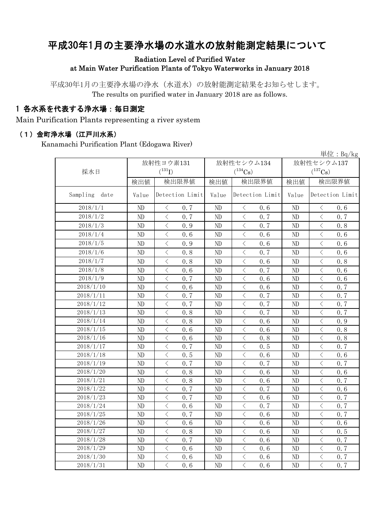# 平成30年1月の主要浄水場の水道水の放射能測定結果について

#### Radiation Level of Purified Water at Main Water Purification Plants of Tokyo Waterworks in January 2018

平成30年1月の主要浄水場の浄水(水道水)の放射能測定結果をお知らせします。 The results on purified water in January 2018 are as follows.

### 1 各水系を代表する浄水場:毎日測定

Main Purification Plants representing a river system

#### (1)金町浄水場(江戸川水系)

Kanamachi Purification Plant (Edogawa River)

|                  | 単位: $Bq/kg$ |                                                 |       |                                                                                                                                                                                     |                       |                                                  |  |  |  |  |
|------------------|-------------|-------------------------------------------------|-------|-------------------------------------------------------------------------------------------------------------------------------------------------------------------------------------|-----------------------|--------------------------------------------------|--|--|--|--|
|                  | 放射性ヨウ素131   |                                                 |       | 放射性セシウム134                                                                                                                                                                          | 放射性セシウム137            |                                                  |  |  |  |  |
| 採水日              |             | $(^{131}I)$                                     |       | $(^{134}\mathrm{Cs})$                                                                                                                                                               | $(^{137}\mathrm{Cs})$ |                                                  |  |  |  |  |
|                  | 検出値         | 検出限界値                                           | 検出値   | 検出限界値                                                                                                                                                                               | 検出値                   | 検出限界値                                            |  |  |  |  |
| Sampling<br>date | Value       | Detection Limit                                 | Value | Detection Limit                                                                                                                                                                     | Value                 | Detection Limit                                  |  |  |  |  |
| 2018/1/1         | ND          | 0.7<br>$\langle$                                | ND    | $\lt$<br>0.6                                                                                                                                                                        | ND                    | 0.6<br>$\lt$                                     |  |  |  |  |
| 2018/1/2         | ND          | $\langle$<br>0.7                                | ND    | $\langle$<br>0.7                                                                                                                                                                    | ND                    | $\langle$<br>0.7                                 |  |  |  |  |
| 2018/1/3         | ND          | $\langle$<br>0.9                                | ND    | $\langle$<br>0.7                                                                                                                                                                    | N <sub>D</sub>        | $\,$ $\,$ $\,$<br>0.8                            |  |  |  |  |
| 2018/1/4         | ND          | $\,$ $\,$ $\,$<br>0.6                           | ND    | $\lt$<br>0.6                                                                                                                                                                        | ND                    | $\,$ $\,$ $\,$<br>0.6                            |  |  |  |  |
| 2018/1/5         | ND          | $\overline{\left\langle \right\rangle }$<br>0.9 | ND    | $\langle$<br>0.6                                                                                                                                                                    | ND                    | $\overline{\left\langle \right\rangle }$<br>0.6  |  |  |  |  |
| 2018/1/6         | ND          | $\langle$<br>0.8                                | ND    | $\langle$<br>0.7                                                                                                                                                                    | ND                    | $\lt$<br>0.6                                     |  |  |  |  |
| 2018/1/7         | ND          | $\overline{\left\langle \right\rangle }$<br>0.8 | ND    | $\langle$<br>0, 6                                                                                                                                                                   | ND                    | $\overline{\left\langle \right\rangle }$<br>0, 8 |  |  |  |  |
| 2018/1/8         | ND          | $\langle$<br>0.6                                | ND    | $\overline{\left\langle \right. }% ,\left\langle \overline{\left\langle \right. }% ,\left\langle \overline{\left\langle \right. }\right\rangle \right\rangle \left. \right.$<br>0.7 | ND                    | $\mathord{<}$<br>0.6                             |  |  |  |  |
| 2018/1/9         | ND          | $\langle$<br>0.7                                | ND    | $\langle$<br>0.6                                                                                                                                                                    | ND                    | $\overline{\left\langle \right\rangle }$<br>0.6  |  |  |  |  |
| 2018/1/10        | ND          | $\langle$<br>0.6                                | ND    | $\langle$<br>0.6                                                                                                                                                                    | ND                    | $\overline{\langle}$<br>0.7                      |  |  |  |  |
| 2018/1/11        | ND          | $\langle$<br>0.7                                | ND    | $\langle$<br>0.7                                                                                                                                                                    | ND                    | $\overline{\left\langle \right\rangle }$<br>0.7  |  |  |  |  |
| 2018/1/12        | ND          | $\langle$<br>0.7                                | ND    | $\lt$<br>0.7                                                                                                                                                                        | ND                    | $\overline{\left\langle \right\rangle }$<br>0.7  |  |  |  |  |
| 2018/1/13        | ND          | $\langle$<br>0.8                                | ND    | $\langle$<br>0.7                                                                                                                                                                    | ND                    | $\overline{\left\langle \right\rangle }$<br>0.7  |  |  |  |  |
| 2018/1/14        | $\rm ND$    | $\langle$<br>0.8                                | ND    | $\lt$<br>0, 6                                                                                                                                                                       | ND                    | $\,$ $\,$ $\,$<br>0.9                            |  |  |  |  |
| 2018/1/15        | ND          | $\langle$<br>0.6                                | ND    | $\lt$<br>0.6                                                                                                                                                                        | ND                    | $\langle$<br>0.8                                 |  |  |  |  |
| 2018/1/16        | $\rm ND$    | $\lt$<br>0.6                                    | ND    | $\lt$<br>0.8                                                                                                                                                                        | ND                    | $\langle$<br>0.8                                 |  |  |  |  |
| 2018/1/17        | ND          | $\langle$<br>0.7                                | ND    | $\overline{\left\langle \right\rangle }$<br>0.5                                                                                                                                     | ND                    | $\overline{\left\langle \right\rangle }$<br>0.7  |  |  |  |  |
| 2018/1/18        | ND          | $\,<\,$<br>0.5                                  | ND    | $\lt$<br>0.6                                                                                                                                                                        | ND                    | $\lt$<br>0.6                                     |  |  |  |  |
| 2018/1/19        | ND          | $\overline{\left\langle \right\rangle }$<br>0.7 | ND    | $\langle$<br>0.7                                                                                                                                                                    | ND                    | $\overline{\left\langle \right\rangle }$<br>0.7  |  |  |  |  |
| 2018/1/20        | ND          | $\lt$<br>0.8                                    | ND    | $\lt$<br>0.6                                                                                                                                                                        | ND                    | $\lt$<br>0.6                                     |  |  |  |  |
| 2018/1/21        | ND          | $\langle$<br>0.8                                | ND    | $\overline{\left\langle \right\rangle }$<br>0.6                                                                                                                                     | ND                    | $\langle$<br>0.7                                 |  |  |  |  |
| 2018/1/22        | ND          | $\langle$<br>0.7                                | ND    | $\overline{\left\langle \right\rangle }$<br>0.7                                                                                                                                     | ND                    | $\overline{\left\langle \right\rangle }$<br>0, 6 |  |  |  |  |
| 2018/1/23        | ND          | $\overline{\left\langle \right\rangle }$<br>0.7 | ND    | $\langle$<br>0.6                                                                                                                                                                    | ND                    | $\langle$<br>0.7                                 |  |  |  |  |
| 2018/1/24        | ND          | $\langle$<br>0, 6                               | ND    | $\langle$<br>0.7                                                                                                                                                                    | N <sub>D</sub>        | $\overline{\left\langle \right\rangle }$<br>0.7  |  |  |  |  |
| 2018/1/25        | ND          | $\langle$<br>0.7                                | ND    | $\overline{\left\langle \right\rangle }$<br>0.6                                                                                                                                     | ND                    | $\overline{\left\langle \right\rangle }$<br>0.7  |  |  |  |  |
| 2018/1/26        | ND          | $\lt$<br>0.6                                    | ND    | $\lt$<br>0.6                                                                                                                                                                        | N <sub>D</sub>        | $\langle$<br>0.6                                 |  |  |  |  |
| 2018/1/27        | ND          | $\overline{\langle}$<br>0, 8                    | ND    | $\langle$<br>0.6                                                                                                                                                                    | ND                    | $\lt$<br>0.5                                     |  |  |  |  |
| 2018/1/28        | ND          | $\,$ $\,$ $\,$<br>0.7                           | ND    | $\,$ $\,$ $\,$<br>0.6                                                                                                                                                               | ND                    | $\,$ $\,$ $\,$<br>0.7                            |  |  |  |  |
| 2018/1/29        | ND          | $\langle$<br>0.6                                | ND    | $\langle$<br>0.6                                                                                                                                                                    | ND                    | $\langle$<br>0.7                                 |  |  |  |  |
| 2018/1/30        | ND          | $\hspace{0.1mm} <\hspace{0.1mm}$<br>0.6         | ND    | $\lt$<br>0.6                                                                                                                                                                        | ND                    | $\bigg\langle$<br>0.7                            |  |  |  |  |
| 2018/1/31        | ND          | $\overline{\langle}$<br>0.6                     | ND    | $\overline{\langle}$<br>0.6                                                                                                                                                         | ND                    | $\overline{\langle}$<br>$0.\overline{7}$         |  |  |  |  |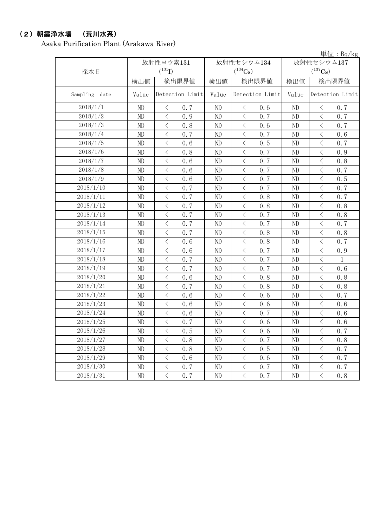## (2)朝霞浄水場 (荒川水系)

Asaka Purification Plant (Arakawa River)

単位:Bq/kg

| 採水日           |          | 放射性ヨウ素131<br>$(^{131}I)$                        |          | 放射性セシウム134<br>$(^{134}\mathrm{Cs})$                                                                                                                                                 | 放射性セシウム137<br>$(^{137}Cs)$ |                                                 |  |
|---------------|----------|-------------------------------------------------|----------|-------------------------------------------------------------------------------------------------------------------------------------------------------------------------------------|----------------------------|-------------------------------------------------|--|
|               | 検出値      | 検出限界値                                           | 検出値      | 検出限界値                                                                                                                                                                               | 検出値                        | 検出限界値                                           |  |
| Sampling date | Value    | Detection Limit                                 | Value    | Detection Limit                                                                                                                                                                     | Value                      | Detection Limit                                 |  |
| 2018/1/1      | ND       | $\langle$<br>0.7                                | $\rm ND$ | $\langle$<br>0.6                                                                                                                                                                    | $\rm ND$                   | 0.7<br>$\langle$                                |  |
| 2018/1/2      | ND       | $\langle$<br>0.9                                | ND       | $\lt$<br>0, 7                                                                                                                                                                       | ND                         | $\langle$<br>0.7                                |  |
| 2018/1/3      | ND       | $\overline{\left\langle \right\rangle }$<br>0.8 | ND       | $\langle$<br>0.6                                                                                                                                                                    | N <sub>D</sub>             | $\langle$<br>0.7                                |  |
| 2018/1/4      | ND       | $\overline{\left\langle \right\rangle }$<br>0.7 | ND       | $\overline{\left\langle \right\rangle }$<br>0.7                                                                                                                                     | N <sub>D</sub>             | $\langle$<br>0.6                                |  |
| 2018/1/5      | ND       | $\overline{\left\langle \right\rangle }$<br>0.6 | ND       | $\overline{\left\langle \right\rangle }$<br>0.5                                                                                                                                     | ND                         | $\langle$<br>0.7                                |  |
| 2018/1/6      | $\rm ND$ | $\overline{\left\langle \right\rangle }$<br>0.8 | ND       | $\lt$<br>0.7                                                                                                                                                                        | ND                         | $\langle$<br>0.9                                |  |
| 2018/1/7      | ND       | $\,$ $\,$ $\,$<br>0, 6                          | ND       | $\langle$<br>0.7                                                                                                                                                                    | ND                         | $\lt$<br>0.8                                    |  |
| 2018/1/8      | ND       | $\,$ $\,$ $\,$<br>0, 6                          | ND       | $\langle$<br>0.7                                                                                                                                                                    | ND                         | $\lt$<br>0.7                                    |  |
| 2018/1/9      | ND       | $\,$ $\,$ $\,$<br>0.6                           | ND       | $\langle$<br>0.7                                                                                                                                                                    | ND                         | $\lt$<br>0.5                                    |  |
| 2018/1/10     | ND       | $\lt$<br>0, 7                                   | $\rm ND$ | $\lt$<br>0.7                                                                                                                                                                        | ND                         | $\lt$<br>0.7                                    |  |
| 2018/1/11     | ND       | $\,<\,$<br>0.7                                  | ND       | $\lt$<br>0.8                                                                                                                                                                        | ND                         | 0.7<br>$\, <\,$                                 |  |
| 2018/1/12     | ND       | $\langle$<br>0.7                                | ND       | $\lt$<br>0.8                                                                                                                                                                        | ND                         | $\,$ $\,$ $\,$<br>0.8                           |  |
| 2018/1/13     | ND       | $\,$ $\,$ $\,$<br>0.7                           | ND       | $\lt$<br>0.7                                                                                                                                                                        | ND                         | $\lt$<br>0.8                                    |  |
| 2018/1/14     | ND       | $\langle$<br>0.7                                | ND       | $\lt$<br>0.7                                                                                                                                                                        | ND                         | $\langle$<br>0.7                                |  |
| 2018/1/15     | ND       | $\langle$<br>0.7                                | ND       | $\langle$<br>0.8                                                                                                                                                                    | ND                         | $\lt$<br>0.8                                    |  |
| 2018/1/16     | ND       | $\overline{\left\langle \right\rangle }$<br>0.6 | ND       | $\overline{\left\langle \right\rangle }$<br>0.8                                                                                                                                     | ND                         | $\langle$<br>0.7                                |  |
| 2018/1/17     | ND       | $\bigg\langle$<br>0.6                           | ND       | $\lt$<br>0.7                                                                                                                                                                        | ND                         | $\,$ $\,$ $\,$<br>0.9                           |  |
| 2018/1/18     | ND       | $\overline{\left\langle \right\rangle }$<br>0.7 | ND       | $\langle$<br>0.7                                                                                                                                                                    | ND                         | $\langle$<br>$\mathbf{1}$                       |  |
| 2018/1/19     | ND       | $\langle$<br>0.7                                | ND       | $\lt$<br>0.7                                                                                                                                                                        | ND                         | $\langle$<br>0.6                                |  |
| 2018/1/20     | ND       | $\overline{\left\langle \right\rangle }$<br>0.6 | ND       | $\overline{\left\langle \right\rangle }$<br>0.8                                                                                                                                     | ND                         | $\langle$<br>0.8                                |  |
| 2018/1/21     | ND       | $\overline{\left\langle \right\rangle }$<br>0.7 | ND       | $\overline{\left\langle \right\rangle }$<br>0.8                                                                                                                                     | ND                         | $\langle$<br>0.8                                |  |
| 2018/1/22     | ND       | $\langle$<br>0.6                                | $\rm ND$ | $\overline{\left\langle \right\rangle }$<br>0.6                                                                                                                                     | ND                         | $\langle$<br>0.7                                |  |
| 2018/1/23     | ND       | $\lt$<br>0.6                                    | $\rm ND$ | $\lt$<br>0.6                                                                                                                                                                        | ND                         | $\lt$<br>0.6                                    |  |
| 2018/1/24     | ND       | $\overline{\left\langle \right\rangle }$<br>0.6 | ND       | $\lt$<br>0.7                                                                                                                                                                        | ND                         | $\lt$<br>0.6                                    |  |
| 2018/1/25     | ND       | $\,$ $\,$ $\,$<br>0.7                           | ND       | $\overline{\left\langle \right. }% ,\left\langle \overline{\left\langle \right. }% ,\left\langle \overline{\left\langle \right\rangle }\right\rangle \right.$<br>0.6                | ND                         | $\overline{\left\langle \right\rangle }$<br>0.6 |  |
| 2018/1/26     | ND       | $\lt$<br>0.5                                    | ND       | $\langle$<br>0.6                                                                                                                                                                    | ND                         | $\lt$<br>0.7                                    |  |
| 2018/1/27     | ND       | $\,$ $\,$ $\,$<br>0.8                           | $\rm ND$ | $\lt$<br>0.7                                                                                                                                                                        | ND                         | $\,$ $\,$ $\,$<br>0.8                           |  |
| 2018/1/28     | ND       | $\lt$<br>0.8                                    | ND       | $\langle$<br>0.5                                                                                                                                                                    | ND                         | 0.7<br>$\langle$                                |  |
| 2018/1/29     | ND       | $\,$ $\,$ $\,$<br>0.6                           | $\rm ND$ | $\lt$<br>0.6                                                                                                                                                                        | ND                         | 0.7<br>$\langle$                                |  |
| 2018/1/30     | ND       | $\langle$<br>0.7                                | ND       | $\overline{\left\langle \right. }% ,\left\langle \overline{\left\langle \right. }% ,\left\langle \overline{\left\langle \right. }\right\rangle \right\rangle \left. \right.$<br>0.7 | ND                         | $\lt$<br>0.7                                    |  |
| 2018/1/31     | ND       | $\overline{\left\langle \right\rangle }$<br>0.7 | $\rm ND$ | $\lt$<br>0.7                                                                                                                                                                        | ND                         | $\langle$<br>0.8                                |  |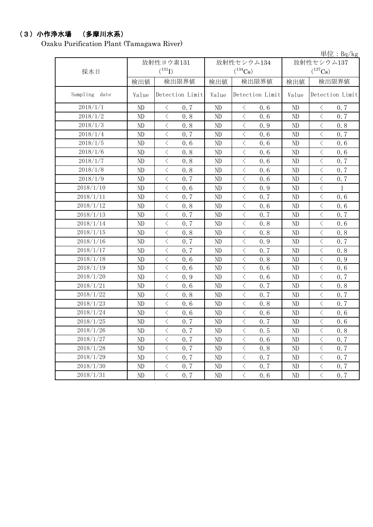## (3)小作浄水場 (多摩川水系)

Ozaku Purification Plant (Tamagawa River)

|                  |          |                                         |          |                                                                                                               |                | 単位: $Bq/kg$                                                                                                   |  |
|------------------|----------|-----------------------------------------|----------|---------------------------------------------------------------------------------------------------------------|----------------|---------------------------------------------------------------------------------------------------------------|--|
|                  |          | 放射性ヨウ素131                               |          | 放射性セシウム134                                                                                                    | 放射性セシウム137     |                                                                                                               |  |
| 採水日              |          | $({}^{131}\mathrm{I})$                  |          | $(^{134}\mathrm{Cs})$                                                                                         |                | $(^{137}\mathrm{Cs})$                                                                                         |  |
|                  | 検出値      | 検出限界値                                   | 検出値      | 検出限界値                                                                                                         | 検出値            | 検出限界値                                                                                                         |  |
| Sampling<br>date | Value    | Detection Limit                         | Value    | Detection Limit                                                                                               | Value          | Detection Limit                                                                                               |  |
| 2018/1/1         | ND       | 0.7<br>$\langle$                        | ND       | $\langle$<br>0.6                                                                                              | ND             | 0.7<br>$\lt$                                                                                                  |  |
| 2018/1/2         | ND       | $\lt$<br>0.8                            | ND       | $\langle$<br>0.6                                                                                              | ND             | $\lt$<br>0.7                                                                                                  |  |
| 2018/1/3         | ND       | $\langle$<br>0.8                        | ND       | $\langle$<br>0.9                                                                                              | ND             | $\langle$<br>0.8                                                                                              |  |
| 2018/1/4         | ND       | $\langle$<br>0.7                        | ND       | $\langle$<br>0.6                                                                                              | ND             | $\langle$<br>0.7                                                                                              |  |
| 2018/1/5         | ND       | $\langle$<br>0.6                        | ND       | $\langle$<br>0.6                                                                                              | ND             | $\lt$<br>0.6                                                                                                  |  |
| 2018/1/6         | ND       | $\,$ $\,$ $\,$<br>0.8                   | ND       | $\,$ $\,$ $\,$<br>0.6                                                                                         | ND             | $\langle$<br>0.6                                                                                              |  |
| 2018/1/7         | ND       | $\langle$<br>0.8                        | ND       | $\hspace{0.1mm}\big\langle$<br>0.6                                                                            | ND             | $\,<\,$<br>0.7                                                                                                |  |
| 2018/1/8         | ND       | $\langle$<br>0.8                        | ND       | $\langle$<br>0.6                                                                                              | ND             | $\langle$<br>0.7                                                                                              |  |
| 2018/1/9         | ND       | $\langle$<br>0.7                        | ND       | $\langle$<br>0.6                                                                                              | ND             | $\big\langle$<br>0.7                                                                                          |  |
| 2018/1/10        | ND       | $\lt$<br>0.6                            | ND       | $\, \big\langle \,$<br>0.9                                                                                    | ND             | $\mathord{\langle}$<br>1                                                                                      |  |
| 2018/1/11        | ND       | $\langle$<br>0.7                        | ND       | $\lt$<br>0.7                                                                                                  | ND             | $\langle$<br>0.6                                                                                              |  |
| 2018/1/12        | ND       | $\langle$<br>0.8                        | ND       | $\langle$<br>0.6                                                                                              | ND             | $\langle$<br>0.6                                                                                              |  |
| 2018/1/13        | ND       | $\,$ $\,$ $\,$<br>0.7                   | ND       | $\,$ $\,$ $\,$<br>0.7                                                                                         | N <sub>D</sub> | $\,$ $\,$ $\,$<br>0.7                                                                                         |  |
| 2018/1/14        | ND       | $\,$ $\,$ $\,$<br>0.7                   | ND       | $\langle$<br>0.8                                                                                              | ND             | $\,$ $\,$ $\,$<br>0.6                                                                                         |  |
| 2018/1/15        | ND       | $\lt$<br>0.8                            | ND       | $\langle$<br>0.8                                                                                              | ND             | $\lt$<br>0.8                                                                                                  |  |
| 2018/1/16        | ND       | $\langle$<br>0.7                        | ND       | $\langle$<br>0.9                                                                                              | ND             | $\langle$<br>0.7                                                                                              |  |
| 2018/1/17        | ND       | $\langle$<br>0.7                        | ND       | $\langle$<br>0.7                                                                                              | ND             | $\langle$<br>0.8                                                                                              |  |
| 2018/1/18        | ND       | $\lt$<br>0.6                            | ND       | $\hspace{0.1mm}\mathopen{\begin{array}{c}\mathopen{\fbox{$\scriptstyle<\}}\end{array}}\hspace{-0.1mm}$<br>0.8 | N <sub>D</sub> | $\hspace{0.1mm}\mathopen{\begin{array}{c}\mathopen{\fbox{$\scriptstyle<\}}\end{array}}\hspace{-0.1mm}$<br>0.9 |  |
| 2018/1/19        | ND       | $\langle$<br>0.6                        | ND       | $\langle$<br>0.6                                                                                              | ND             | $\langle$<br>0.6                                                                                              |  |
| 2018/1/20        | ND       | $\langle$<br>0.9                        | ND       | $\langle$<br>0.6                                                                                              | ND             | $\langle$<br>0.7                                                                                              |  |
| 2018/1/21        | ND       | $\langle$<br>0.6                        | ND       | $\langle$<br>0.7                                                                                              | ND             | $\lt$<br>0.8                                                                                                  |  |
| 2018/1/22        | ND       | $\, < \,$<br>0.8                        | ND       | $\lt$<br>0.7                                                                                                  | ND             | $\lt$<br>0.7                                                                                                  |  |
| 2018/1/23        | ND       | $\langle$<br>0.6                        | ND       | $\,$ $\,$ $\,$<br>0.8                                                                                         | ND             | $\overline{\left\langle \right\rangle }$<br>0.7                                                               |  |
| 2018/1/24        | ND       | $\,$ $\,$ $\,$<br>0.6                   | ND       | $\,$ $\,$ $\,$<br>0.6                                                                                         | ND             | $\langle$<br>0.6                                                                                              |  |
| 2018/1/25        | ND       | $\,$ $\,$ $\,$<br>0.7                   | ND       | $\, < \,$<br>0.7                                                                                              | ND             | $\,$ $\,$ $\,$<br>0.6                                                                                         |  |
| 2018/1/26        | ND       | $\langle$<br>0.7                        | ND       | $\langle$<br>0.5                                                                                              | ND             | $\langle$<br>0, 8                                                                                             |  |
| 2018/1/27        | ND       | $\langle$<br>0.7                        | $\rm ND$ | $\langle$<br>0.6                                                                                              | ND             | $\overline{\left\langle \right\rangle }$<br>0.7                                                               |  |
| 2018/1/28        | ND       | $\, \big\langle \,$<br>0.7              | ND       | $\bigl\langle$<br>0.8                                                                                         | ND             | $\, <\,$<br>0.7                                                                                               |  |
| 2018/1/29        | ND       | 0.7<br>$\langle$                        | ND       | $\langle$<br>0.7                                                                                              | ND             | $\lt$<br>0, 7                                                                                                 |  |
| 2018/1/30        | ND       | $\, <\,$<br>0.7                         | ND       | $\, \leq$<br>0.7                                                                                              | ND             | $\bigl\langle$<br>0.7                                                                                         |  |
| 2018/1/31        | $\rm ND$ | $\hspace{0.1mm} <\hspace{0.1mm}$<br>0.7 | ND       | $\, <\,$<br>0.6                                                                                               | ND             | $\bigl\langle$<br>0, 7                                                                                        |  |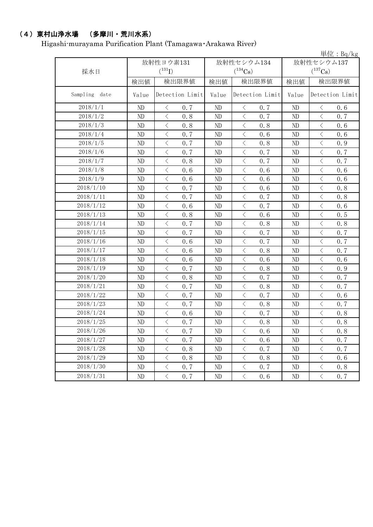## (4)東村山浄水場 (多摩川・荒川水系)

Higashi-murayama Purification Plant (Tamagawa・Arakawa River)

|                  |          | $\vert \dot{\Xi} \vert \dot{\Xi}$ : Bq/kg       |          |                            |          |                                                 |  |  |  |  |
|------------------|----------|-------------------------------------------------|----------|----------------------------|----------|-------------------------------------------------|--|--|--|--|
|                  |          | 放射性ヨウ素131                                       |          | 放射性セシウム134                 |          | 放射性セシウム137                                      |  |  |  |  |
| 採水日              |          | $(^{131}I)$                                     |          | $(^{134}Cs)$               |          | $(^{137}Cs)$                                    |  |  |  |  |
|                  | 検出値      | 検出限界値<br>検出値                                    |          | 検出限界値                      | 検出値      | 検出限界値                                           |  |  |  |  |
| Sampling<br>date | Value    | Detection Limit                                 | Value    | Detection Limit            | Value    | Detection Limit                                 |  |  |  |  |
| 2018/1/1         | ND       | $\langle$<br>0.7                                | ND       | $\langle$<br>0.7           | ND       | 0.6<br>$\lt$                                    |  |  |  |  |
| 2018/1/2         | ND       | $\langle$<br>0.8                                | ND       | $\langle$<br>0, 7          | ND       | $\lt$<br>0.7                                    |  |  |  |  |
| 2018/1/3         | ND       | $\lt$<br>0.8                                    | ND       | $\lt$<br>0.8               | ND       | $\lt$<br>0.6                                    |  |  |  |  |
| 2018/1/4         | ND       | $\,$ $\,$ $\,$<br>0.7                           | ND       | $\lt$<br>0.6               | ND       | $\langle$<br>0.6                                |  |  |  |  |
| 2018/1/5         | ND       | $\langle$<br>0.7                                | ND       | $\langle$<br>0.8           | ND       | $\lt$<br>0.9                                    |  |  |  |  |
| 2018/1/6         | ND       | $\,$ $\,$ $\,$<br>0.7                           | ND       | $\langle$<br>0.7           | ND       | $\langle$<br>0.7                                |  |  |  |  |
| 2018/1/7         | ND       | $\lt$<br>0.8                                    | ND       | 0.7<br>$\langle$           | ND       | $\hspace{0.1mm}\big\langle$<br>0.7              |  |  |  |  |
| 2018/1/8         | ND       | $\,$ $\,$ $\,$<br>0.6                           | ND       | $\lt$<br>0.6               | ND       | $\overline{\left\langle \right\rangle }$<br>0.6 |  |  |  |  |
| 2018/1/9         | ND       | $\langle$<br>0.6                                | ND       | $\lt$<br>0.6               | ND       | $\,$ $\,$ $\,$<br>0.6                           |  |  |  |  |
| 2018/1/10        | ND       | $\langle$<br>0.7                                | ND       | $\langle$<br>0.6           | ND       | $\langle$<br>0.8                                |  |  |  |  |
| 2018/1/11        | ND       | $\lt$<br>0.7                                    | ND       | $\langle$<br>0.7           | ND       | $\,$ $\,$ $\,$<br>0.8                           |  |  |  |  |
| 2018/1/12        | ND       | $\lt$<br>0.6                                    | ND       | $\lt$<br>0.7               | ND       | $\, \zeta \,$<br>0.6                            |  |  |  |  |
| 2018/1/13        | ND       | $\lt$<br>0.8                                    | ND       | $\langle$<br>0.6           | ND       | $\langle$<br>0.5                                |  |  |  |  |
| 2018/1/14        | ND       | $\langle$<br>0.7                                | ND       | $\langle$<br>0.8           | ND       | $\langle$<br>0.8                                |  |  |  |  |
| 2018/1/15        | ND       | $\langle$<br>0.7                                | ND       | $\langle$<br>0.7           | ND       | $\,$ $\,$ $\,$<br>0.7                           |  |  |  |  |
| 2018/1/16        | ND       | $\lt$<br>0.6                                    | ND       | $\langle$<br>0.7           | ND       | $\langle$<br>0.7                                |  |  |  |  |
| 2018/1/17        | ND       | $\,$ $\,$ $\,$<br>0.6                           | ND       | $\langle$<br>0.8           | ND       | $\,$ $\,$ $\,$<br>0.7                           |  |  |  |  |
| 2018/1/18        | ND       | $\lt$<br>0.6                                    | ND       | $\langle$<br>0.6           | ND       | $\langle$<br>0.6                                |  |  |  |  |
| 2018/1/19        | ND       | $\,$ $\,$ $\,$<br>0.7                           | ND       | $\langle$<br>0.8           | ND       | $\lt$<br>0.9                                    |  |  |  |  |
| 2018/1/20        | ND       | $\langle$<br>0.8                                | ND       | $\lt$<br>0.7               | ND       | $\lt$<br>0.7                                    |  |  |  |  |
| 2018/1/21        | ND       | $\langle$<br>0.7                                | ND       | $\langle$<br>0.8           | ND       | $\langle$<br>0.7                                |  |  |  |  |
| 2018/1/22        | ND       | $\lt$<br>0.7                                    | ND       | $\langle$<br>0.7           | ND       | $\langle$<br>0.6                                |  |  |  |  |
| 2018/1/23        | ND       | $\lt$<br>0.7                                    | ND       | $\langle$<br>0.8           | ND       | $\,$ $\,$ $\,$<br>0.7                           |  |  |  |  |
| 2018/1/24        | ND       | $\, \zeta \,$<br>0.6                            | ND       | $\lt$<br>0.7               | ND       | $\lt$<br>0.8                                    |  |  |  |  |
| 2018/1/25        | ND       | $\overline{\left\langle \right\rangle }$<br>0.7 | ND       | $\lt$<br>0.8               | ND       | $\overline{\left\langle \right\rangle }$<br>0.8 |  |  |  |  |
| 2018/1/26        | $\rm ND$ | $\, <\,$<br>0.7                                 | $\rm ND$ | 0.6<br>$\lt$               | $\rm ND$ | $\lt$<br>0.8                                    |  |  |  |  |
| 2018/1/27        | ND       | $\langle$<br>0.7                                | $\rm ND$ | $\langle$<br>0.6           | ND       | $\langle$<br>0.7                                |  |  |  |  |
| 2018/1/28        | ND       | $\langle$<br>0, 8                               | ND       | $\langle$<br>0.7           | ND       | $\lt$<br>0.7                                    |  |  |  |  |
| 2018/1/29        | $\rm ND$ | $\langle$<br>0.8                                | $\rm ND$ | $\langle$<br>0.8           | $\rm ND$ | $\langle$<br>0.6                                |  |  |  |  |
| 2018/1/30        | ND       | $\mathord{<}$<br>0.7                            | ND       | $\, \big\langle \,$<br>0.7 | ND       | $\langle$<br>0.8                                |  |  |  |  |
| 2018/1/31        | ND       | $\langle$<br>0, 7                               | ND       | $\langle$<br>0.6           | ND       | $\langle$<br>0, 7                               |  |  |  |  |
|                  |          |                                                 |          |                            |          |                                                 |  |  |  |  |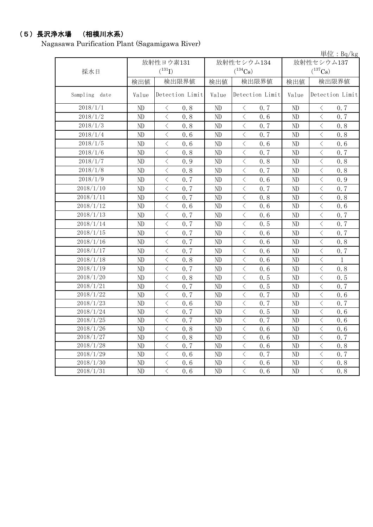## (5)長沢浄水場 (相模川水系)

Nagasawa Purification Plant (Sagamigawa River)

|               |       |                                                 |       |                            |            | 単位: Bq/kg                               |  |
|---------------|-------|-------------------------------------------------|-------|----------------------------|------------|-----------------------------------------|--|
|               |       | 放射性ヨウ素131                                       |       | 放射性セシウム134                 | 放射性セシウム137 |                                         |  |
| 採水日           |       | $(^{131}I)$                                     |       | $(^{134}Cs)$               |            | $(^{137}Cs)$                            |  |
|               | 検出値   | 検出限界値                                           | 検出値   | 検出限界値                      | 検出値        | 検出限界値                                   |  |
| Sampling date | Value | Detection Limit                                 | Value | Detection Limit            | Value      | Detection Limit                         |  |
| 2018/1/1      | ND    | 0.8<br>$\lt$                                    | ND    | 0, 7<br>$\langle$          | ND         | 0.7<br>$\lt$                            |  |
| 2018/1/2      | ND    | $\langle$<br>0.8                                | ND    | $\langle$<br>0, 6          | ND         | $\langle$<br>0.7                        |  |
| 2018/1/3      | ND    | $\langle$<br>0.8                                | ND    | $\langle$<br>0.7           | $\rm ND$   | $\langle$<br>0.8                        |  |
| 2018/1/4      | ND    | $\langle$<br>0.6                                | ND    | $\,$ $\,$ $\,$<br>0.7      | ND         | $\lt$<br>0.8                            |  |
| 2018/1/5      | ND    | $\langle$<br>0.6                                | ND    | $\langle$<br>0.6           | ND         | $\lt$<br>0.6                            |  |
| 2018/1/6      | ND    | $\lt$<br>0.8                                    | ND    | $\langle$<br>0.7           | ND         | $\lt$<br>0.7                            |  |
| 2018/1/7      | ND    | $\overline{\left\langle \right\rangle }$<br>0.9 | ND    | $\langle$<br>0, 8          | ND         | $\langle$<br>0.8                        |  |
| 2018/1/8      | ND    | $\langle$<br>0, 8                               | ND    | $\langle$<br>0.7           | ND         | $\langle$<br>0.8                        |  |
| 2018/1/9      | ND    | $\lt$<br>0.7                                    | ND    | $\langle$<br>0.6           | ND         | $\,$ $\,$ $\,$<br>0.9                   |  |
| 2018/1/10     | ND    | $\langle$<br>0.7                                | ND    | $\langle$<br>0.7           | ND         | $\langle$<br>0.7                        |  |
| 2018/1/11     | ND    | $\lt$<br>0.7                                    | ND    | $\lt$<br>0.8               | ND         | $\lt$<br>0.8                            |  |
| 2018/1/12     | ND    | $\,$ $\,$ $\,$<br>0.6                           | ND    | $\lt$<br>0.6               | ND         | $\lt$<br>0.6                            |  |
| 2018/1/13     | ND    | $\langle$<br>0.7                                | ND    | $\langle$<br>0, 6          | ND         | $\langle$<br>0.7                        |  |
| 2018/1/14     | ND    | $\lt$<br>0.7                                    | ND    | $\lt$<br>0.5               | ND         | $\lt$<br>0.7                            |  |
| 2018/1/15     | ND    | $\lt$<br>0.7                                    | ND    | $\lt$<br>0.6               | ND         | $\, < \,$<br>0.7                        |  |
| 2018/1/16     | ND    | $\lt$<br>0.7                                    | ND    | $\langle$<br>0.6           | ND         | $\lt$<br>0.8                            |  |
| 2018/1/17     | ND    | $\lt$<br>0.7                                    | ND    | $\lt$<br>0.6               | ND         | $\lt$<br>0.7                            |  |
| 2018/1/18     | ND    | $\langle$<br>0.8                                | ND    | $\lt$<br>0.6               | ND         | $\,$ $\,$ $\,$<br>$\mathbf{1}$          |  |
| 2018/1/19     | ND    | $\lt$<br>0.7                                    | ND    | $\lt$<br>0.6               | ND         | $\langle$<br>0.8                        |  |
| 2018/1/20     | ND    | $\lt$<br>0.8                                    | ND    | $\lt$<br>0.5               | ND         | $\,$ $\,$ $\,$<br>0.5                   |  |
| 2018/1/21     | ND    | $\lt$<br>0.7                                    | ND    | $\langle$<br>0.5           | ND         | $\lt$<br>0.7                            |  |
| 2018/1/22     | ND    | $\,$ $\,$ $\,$<br>0.7                           | ND    | $\lt$<br>0.7               | ND         | $\,<\,$<br>0.6                          |  |
| 2018/1/23     | ND    | $\, <\,$<br>0.6                                 | ND    | $\, \big\langle \,$<br>0.7 | ND         | $\hspace{0.1mm} <\hspace{0.1mm}$<br>0.7 |  |
| 2018/1/24     | ND    | $\, \leq$<br>0.7                                | ND    | $\, \big\langle \,$<br>0.5 | ND         | $\, \leq$<br>0.6                        |  |
| 2018/1/25     | ND    | $\lt$<br>0, 7                                   | ND    | 0.7<br>$\langle$           | ND         | $\lt$<br>0.6                            |  |
| 2018/1/26     | ND    | $\langle$<br>0.8                                | ND    | $\lt$<br>0.6               | ND         | $\,$ $\,$ $\,$<br>0.6                   |  |
| 2018/1/27     | ND    | $\langle$<br>0.8                                | ND    | $\lt$<br>0.6               | ND         | $\langle$<br>0.7                        |  |
| 2018/1/28     | ND    | $\lt$<br>0.7                                    | ND    | $\lt$<br>0.6               | ND         | $\,$ $\,$ $\,$<br>0.8                   |  |
| 2018/1/29     | ND    | $\langle$<br>0, 6                               | ND    | $\lt$<br>0.7               | ND         | $\lt$<br>0.7                            |  |
| 2018/1/30     | ND    | $\langle$<br>0.6                                | ND    | $\langle$<br>0.6           | ND         | $\,<\,$<br>0.8                          |  |
| 2018/1/31     | ND    | $\overline{\langle}$<br>0.6                     | ND    | $\langle$<br>0.6           | ND         | $\overline{\langle}$<br>0.8             |  |